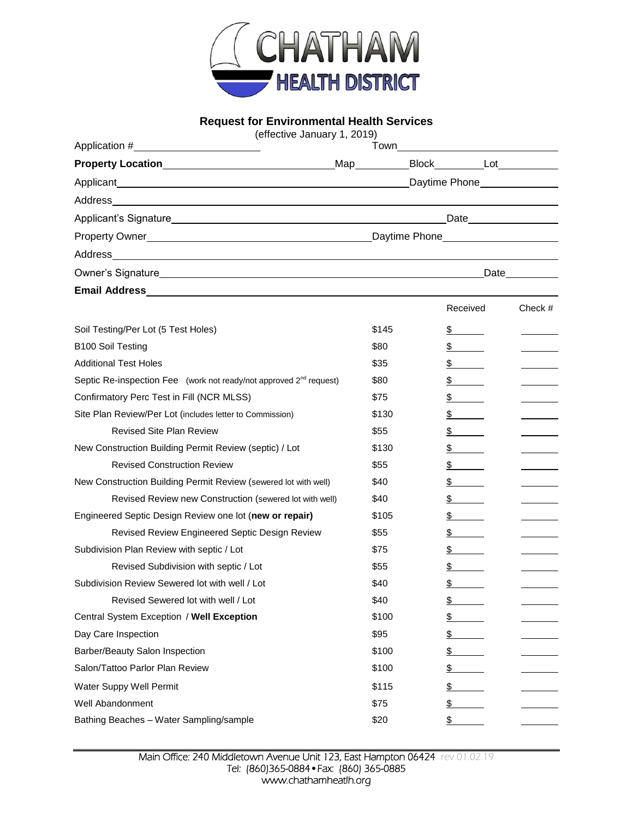

## **Request for Environmental Health Services**

(effective January 1, 2019)

| Application #                          | Town_         |  |      |  |
|----------------------------------------|---------------|--|------|--|
| Property Location_____________________ | Map______     |  |      |  |
|                                        |               |  |      |  |
| Address______________________          |               |  |      |  |
| Applicant's Signature________________  | Date_______   |  |      |  |
|                                        | Daytime Phone |  |      |  |
|                                        |               |  |      |  |
| Owner's Signature____                  |               |  | Date |  |
| <b>Email Address</b>                   |               |  |      |  |

|                                                                                |       | Received | Check $#$ |
|--------------------------------------------------------------------------------|-------|----------|-----------|
| Soil Testing/Per Lot (5 Test Holes)                                            | \$145 | \$       |           |
| <b>B100 Soil Testing</b>                                                       | \$80  | \$       |           |
| <b>Additional Test Holes</b>                                                   | \$35  | \$       |           |
| Septic Re-inspection Fee (work not ready/not approved 2 <sup>nd</sup> request) | \$80  | \$       |           |
| Confirmatory Perc Test in Fill (NCR MLSS)                                      | \$75  | \$       |           |
| Site Plan Review/Per Lot (includes letter to Commission)                       | \$130 | \$       |           |
| <b>Revised Site Plan Review</b>                                                | \$55  | \$       |           |
| New Construction Building Permit Review (septic) / Lot                         | \$130 | \$       |           |
| <b>Revised Construction Review</b>                                             | \$55  | \$       |           |
| New Construction Building Permit Review (sewered lot with well)                | \$40  | \$       |           |
| Revised Review new Construction (sewered lot with well)                        | \$40  | \$       |           |
| Engineered Septic Design Review one lot (new or repair)                        | \$105 | \$       |           |
| Revised Review Engineered Septic Design Review                                 | \$55  | \$       |           |
| Subdivision Plan Review with septic / Lot                                      | \$75  | \$       |           |
| Revised Subdivision with septic / Lot                                          | \$55  | \$       |           |
| Subdivision Review Sewered lot with well / Lot                                 | \$40  | \$       |           |
| Revised Sewered lot with well / Lot                                            | \$40  | \$       |           |
| Central System Exception / Well Exception                                      | \$100 | \$       |           |
| Day Care Inspection                                                            | \$95  | \$       |           |
| Barber/Beauty Salon Inspection                                                 | \$100 | \$       |           |
| Salon/Tattoo Parlor Plan Review                                                | \$100 | \$       |           |
| Water Suppy Well Permit                                                        | \$115 | \$       |           |
| <b>Well Abandonment</b>                                                        | \$75  | \$       |           |
| Bathing Beaches - Water Sampling/sample                                        | \$20  | \$       |           |